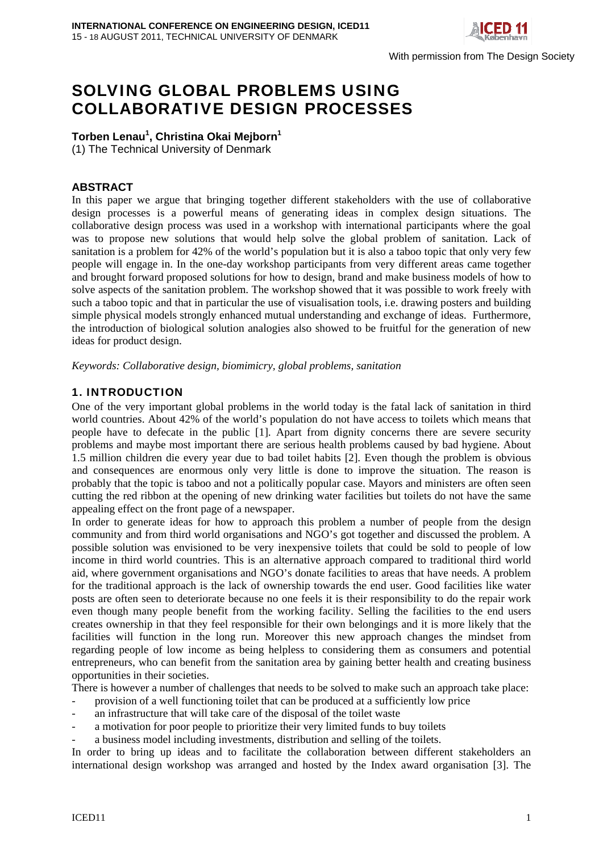

With permission from The Design Society

# SOLVING GLOBAL PROBLEMS USING COLLABORATIVE DESIGN PROCESSES

## **Torben Lenau<sup>1</sup> , Christina Okai Mejborn1**

(1) The Technical University of Denmark

## **ABSTRACT**

In this paper we argue that bringing together different stakeholders with the use of collaborative design processes is a powerful means of generating ideas in complex design situations. The collaborative design process was used in a workshop with international participants where the goal was to propose new solutions that would help solve the global problem of sanitation. Lack of sanitation is a problem for 42% of the world's population but it is also a taboo topic that only very few people will engage in. In the one-day workshop participants from very different areas came together and brought forward proposed solutions for how to design, brand and make business models of how to solve aspects of the sanitation problem. The workshop showed that it was possible to work freely with such a taboo topic and that in particular the use of visualisation tools, i.e. drawing posters and building simple physical models strongly enhanced mutual understanding and exchange of ideas. Furthermore, the introduction of biological solution analogies also showed to be fruitful for the generation of new ideas for product design.

*Keywords: Collaborative design, biomimicry, global problems, sanitation* 

## 1. INTRODUCTION

One of the very important global problems in the world today is the fatal lack of sanitation in third world countries. About 42% of the world's population do not have access to toilets which means that people have to defecate in the public [1]. Apart from dignity concerns there are severe security problems and maybe most important there are serious health problems caused by bad hygiene. About 1.5 million children die every year due to bad toilet habits [2]. Even though the problem is obvious and consequences are enormous only very little is done to improve the situation. The reason is probably that the topic is taboo and not a politically popular case. Mayors and ministers are often seen cutting the red ribbon at the opening of new drinking water facilities but toilets do not have the same appealing effect on the front page of a newspaper.

In order to generate ideas for how to approach this problem a number of people from the design community and from third world organisations and NGO's got together and discussed the problem. A possible solution was envisioned to be very inexpensive toilets that could be sold to people of low income in third world countries. This is an alternative approach compared to traditional third world aid, where government organisations and NGO's donate facilities to areas that have needs. A problem for the traditional approach is the lack of ownership towards the end user. Good facilities like water posts are often seen to deteriorate because no one feels it is their responsibility to do the repair work even though many people benefit from the working facility. Selling the facilities to the end users creates ownership in that they feel responsible for their own belongings and it is more likely that the facilities will function in the long run. Moreover this new approach changes the mindset from regarding people of low income as being helpless to considering them as consumers and potential entrepreneurs, who can benefit from the sanitation area by gaining better health and creating business opportunities in their societies.

There is however a number of challenges that needs to be solved to make such an approach take place:

- provision of a well functioning toilet that can be produced at a sufficiently low price
- an infrastructure that will take care of the disposal of the toilet waste
- a motivation for poor people to prioritize their very limited funds to buy toilets
- a business model including investments, distribution and selling of the toilets.

In order to bring up ideas and to facilitate the collaboration between different stakeholders an international design workshop was arranged and hosted by the Index award organisation [3]. The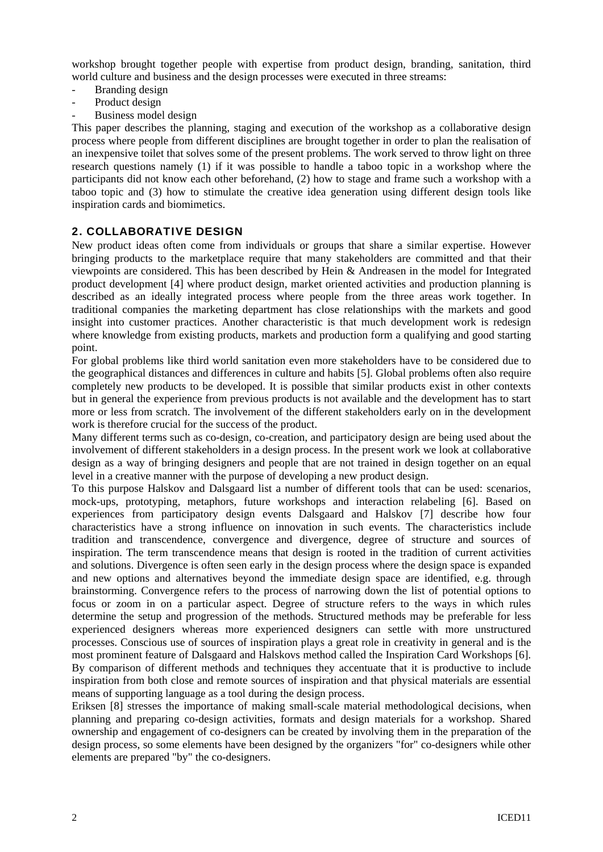workshop brought together people with expertise from product design, branding, sanitation, third world culture and business and the design processes were executed in three streams:

- Branding design
- Product design
- Business model design

This paper describes the planning, staging and execution of the workshop as a collaborative design process where people from different disciplines are brought together in order to plan the realisation of an inexpensive toilet that solves some of the present problems. The work served to throw light on three research questions namely (1) if it was possible to handle a taboo topic in a workshop where the participants did not know each other beforehand, (2) how to stage and frame such a workshop with a taboo topic and (3) how to stimulate the creative idea generation using different design tools like inspiration cards and biomimetics.

#### 2. COLLABORATIVE DESIGN

New product ideas often come from individuals or groups that share a similar expertise. However bringing products to the marketplace require that many stakeholders are committed and that their viewpoints are considered. This has been described by Hein & Andreasen in the model for Integrated product development [4] where product design, market oriented activities and production planning is described as an ideally integrated process where people from the three areas work together. In traditional companies the marketing department has close relationships with the markets and good insight into customer practices. Another characteristic is that much development work is redesign where knowledge from existing products, markets and production form a qualifying and good starting point.

For global problems like third world sanitation even more stakeholders have to be considered due to the geographical distances and differences in culture and habits [5]. Global problems often also require completely new products to be developed. It is possible that similar products exist in other contexts but in general the experience from previous products is not available and the development has to start more or less from scratch. The involvement of the different stakeholders early on in the development work is therefore crucial for the success of the product.

Many different terms such as co-design, co-creation, and participatory design are being used about the involvement of different stakeholders in a design process. In the present work we look at collaborative design as a way of bringing designers and people that are not trained in design together on an equal level in a creative manner with the purpose of developing a new product design.

To this purpose Halskov and Dalsgaard list a number of different tools that can be used: scenarios, mock-ups, prototyping, metaphors, future workshops and interaction relabeling [6]. Based on experiences from participatory design events Dalsgaard and Halskov [7] describe how four characteristics have a strong influence on innovation in such events. The characteristics include tradition and transcendence, convergence and divergence, degree of structure and sources of inspiration. The term transcendence means that design is rooted in the tradition of current activities and solutions. Divergence is often seen early in the design process where the design space is expanded and new options and alternatives beyond the immediate design space are identified, e.g. through brainstorming. Convergence refers to the process of narrowing down the list of potential options to focus or zoom in on a particular aspect. Degree of structure refers to the ways in which rules determine the setup and progression of the methods. Structured methods may be preferable for less experienced designers whereas more experienced designers can settle with more unstructured processes. Conscious use of sources of inspiration plays a great role in creativity in general and is the most prominent feature of Dalsgaard and Halskovs method called the Inspiration Card Workshops [6]. By comparison of different methods and techniques they accentuate that it is productive to include inspiration from both close and remote sources of inspiration and that physical materials are essential means of supporting language as a tool during the design process.

Eriksen [8] stresses the importance of making small-scale material methodological decisions, when planning and preparing co-design activities, formats and design materials for a workshop. Shared ownership and engagement of co-designers can be created by involving them in the preparation of the design process, so some elements have been designed by the organizers "for" co-designers while other elements are prepared "by" the co-designers.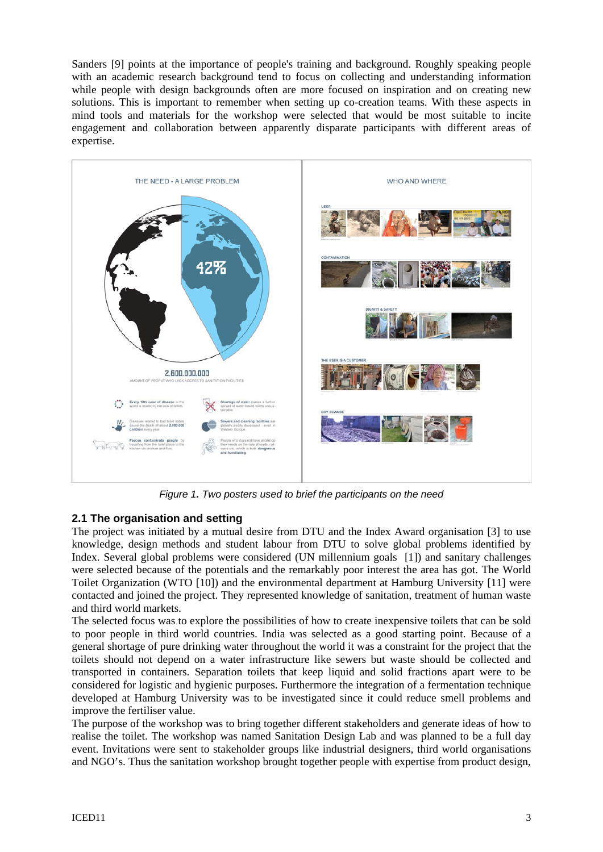Sanders [9] points at the importance of people's training and background. Roughly speaking people with an academic research background tend to focus on collecting and understanding information while people with design backgrounds often are more focused on inspiration and on creating new solutions. This is important to remember when setting up co-creation teams. With these aspects in mind tools and materials for the workshop were selected that would be most suitable to incite engagement and collaboration between apparently disparate participants with different areas of expertise.



*Figure 1. Two posters used to brief the participants on the need* 

## **2.1 The organisation and setting**

The project was initiated by a mutual desire from DTU and the Index Award organisation [3] to use knowledge, design methods and student labour from DTU to solve global problems identified by Index. Several global problems were considered (UN millennium goals [1]) and sanitary challenges were selected because of the potentials and the remarkably poor interest the area has got. The World Toilet Organization (WTO [10]) and the environmental department at Hamburg University [11] were contacted and joined the project. They represented knowledge of sanitation, treatment of human waste and third world markets.

The selected focus was to explore the possibilities of how to create inexpensive toilets that can be sold to poor people in third world countries. India was selected as a good starting point. Because of a general shortage of pure drinking water throughout the world it was a constraint for the project that the toilets should not depend on a water infrastructure like sewers but waste should be collected and transported in containers. Separation toilets that keep liquid and solid fractions apart were to be considered for logistic and hygienic purposes. Furthermore the integration of a fermentation technique developed at Hamburg University was to be investigated since it could reduce smell problems and improve the fertiliser value.

The purpose of the workshop was to bring together different stakeholders and generate ideas of how to realise the toilet. The workshop was named Sanitation Design Lab and was planned to be a full day event. Invitations were sent to stakeholder groups like industrial designers, third world organisations and NGO's. Thus the sanitation workshop brought together people with expertise from product design,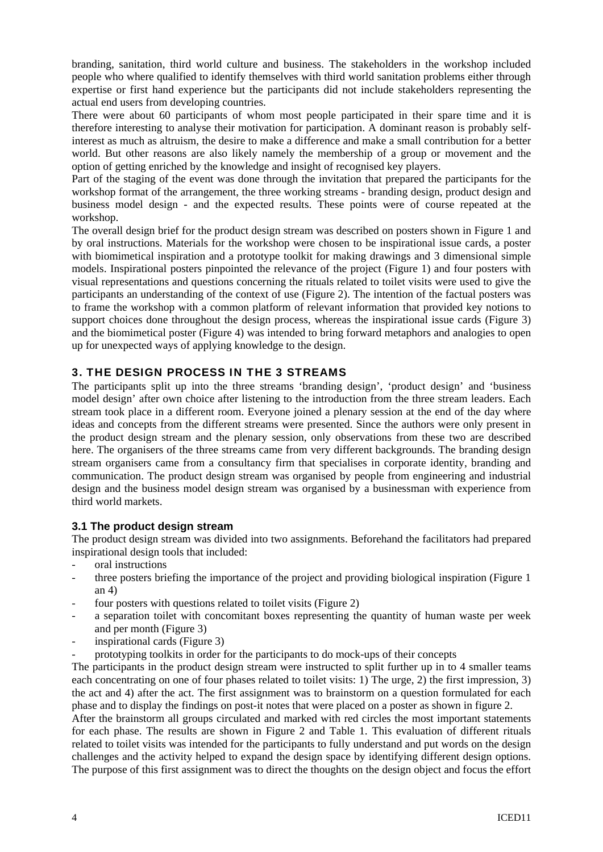branding, sanitation, third world culture and business. The stakeholders in the workshop included people who where qualified to identify themselves with third world sanitation problems either through expertise or first hand experience but the participants did not include stakeholders representing the actual end users from developing countries.

There were about 60 participants of whom most people participated in their spare time and it is therefore interesting to analyse their motivation for participation. A dominant reason is probably selfinterest as much as altruism, the desire to make a difference and make a small contribution for a better world. But other reasons are also likely namely the membership of a group or movement and the option of getting enriched by the knowledge and insight of recognised key players.

Part of the staging of the event was done through the invitation that prepared the participants for the workshop format of the arrangement, the three working streams - branding design, product design and business model design - and the expected results. These points were of course repeated at the workshop.

The overall design brief for the product design stream was described on posters shown in Figure 1 and by oral instructions. Materials for the workshop were chosen to be inspirational issue cards, a poster with biomimetical inspiration and a prototype toolkit for making drawings and 3 dimensional simple models. Inspirational posters pinpointed the relevance of the project (Figure 1) and four posters with visual representations and questions concerning the rituals related to toilet visits were used to give the participants an understanding of the context of use (Figure 2). The intention of the factual posters was to frame the workshop with a common platform of relevant information that provided key notions to support choices done throughout the design process, whereas the inspirational issue cards (Figure 3) and the biomimetical poster (Figure 4) was intended to bring forward metaphors and analogies to open up for unexpected ways of applying knowledge to the design.

## 3. THE DESIGN PROCESS IN THE 3 STREAMS

The participants split up into the three streams 'branding design', 'product design' and 'business model design' after own choice after listening to the introduction from the three stream leaders. Each stream took place in a different room. Everyone joined a plenary session at the end of the day where ideas and concepts from the different streams were presented. Since the authors were only present in the product design stream and the plenary session, only observations from these two are described here. The organisers of the three streams came from very different backgrounds. The branding design stream organisers came from a consultancy firm that specialises in corporate identity, branding and communication. The product design stream was organised by people from engineering and industrial design and the business model design stream was organised by a businessman with experience from third world markets.

#### **3.1 The product design stream**

The product design stream was divided into two assignments. Beforehand the facilitators had prepared inspirational design tools that included:

- oral instructions
- three posters briefing the importance of the project and providing biological inspiration (Figure 1) an 4)
- four posters with questions related to toilet visits (Figure 2)
- a separation toilet with concomitant boxes representing the quantity of human waste per week and per month (Figure 3)
- inspirational cards (Figure 3)
- prototyping toolkits in order for the participants to do mock-ups of their concepts

The participants in the product design stream were instructed to split further up in to 4 smaller teams each concentrating on one of four phases related to toilet visits: 1) The urge, 2) the first impression, 3) the act and 4) after the act. The first assignment was to brainstorm on a question formulated for each phase and to display the findings on post-it notes that were placed on a poster as shown in figure 2.

After the brainstorm all groups circulated and marked with red circles the most important statements for each phase. The results are shown in Figure 2 and Table 1. This evaluation of different rituals related to toilet visits was intended for the participants to fully understand and put words on the design challenges and the activity helped to expand the design space by identifying different design options. The purpose of this first assignment was to direct the thoughts on the design object and focus the effort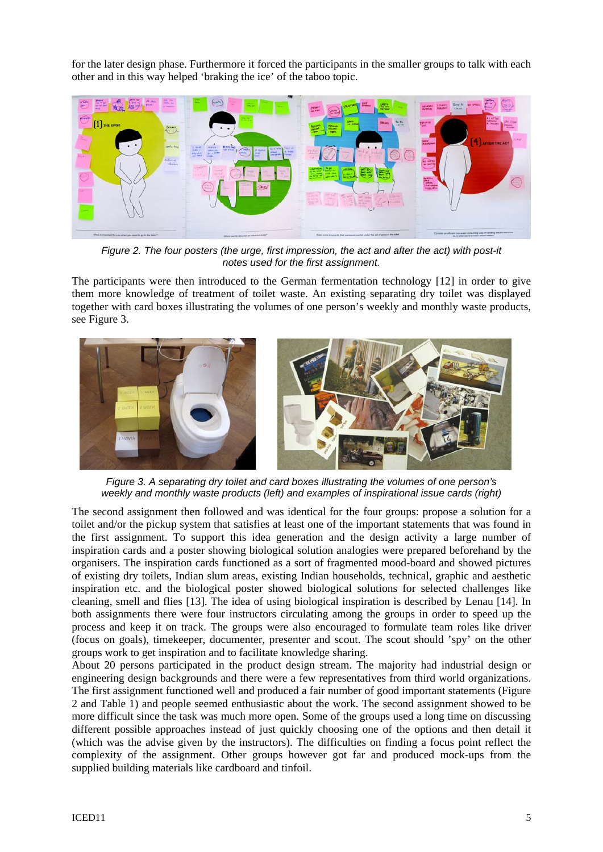for the later design phase. Furthermore it forced the participants in the smaller groups to talk with each other and in this way helped 'braking the ice' of the taboo topic.



*Figure 2. The four posters (the urge, first impression, the act and after the act) with post-it notes used for the first assignment.* 

The participants were then introduced to the German fermentation technology [12] in order to give them more knowledge of treatment of toilet waste. An existing separating dry toilet was displayed together with card boxes illustrating the volumes of one person's weekly and monthly waste products, see Figure 3.



*Figure 3. A separating dry toilet and card boxes illustrating the volumes of one person's weekly and monthly waste products (left) and examples of inspirational issue cards (right)* 

The second assignment then followed and was identical for the four groups: propose a solution for a toilet and/or the pickup system that satisfies at least one of the important statements that was found in the first assignment. To support this idea generation and the design activity a large number of inspiration cards and a poster showing biological solution analogies were prepared beforehand by the organisers. The inspiration cards functioned as a sort of fragmented mood-board and showed pictures of existing dry toilets, Indian slum areas, existing Indian households, technical, graphic and aesthetic inspiration etc. and the biological poster showed biological solutions for selected challenges like cleaning, smell and flies [13]. The idea of using biological inspiration is described by Lenau [14]. In both assignments there were four instructors circulating among the groups in order to speed up the process and keep it on track. The groups were also encouraged to formulate team roles like driver (focus on goals), timekeeper, documenter, presenter and scout. The scout should 'spy' on the other groups work to get inspiration and to facilitate knowledge sharing.

About 20 persons participated in the product design stream. The majority had industrial design or engineering design backgrounds and there were a few representatives from third world organizations. The first assignment functioned well and produced a fair number of good important statements (Figure 2 and Table 1) and people seemed enthusiastic about the work. The second assignment showed to be more difficult since the task was much more open. Some of the groups used a long time on discussing different possible approaches instead of just quickly choosing one of the options and then detail it (which was the advise given by the instructors). The difficulties on finding a focus point reflect the complexity of the assignment. Other groups however got far and produced mock-ups from the supplied building materials like cardboard and tinfoil.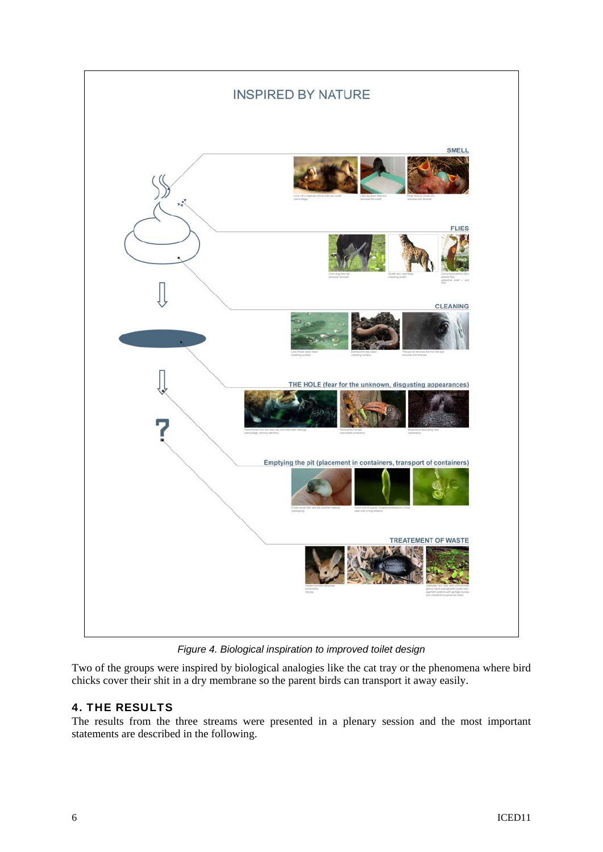

*Figure 4. Biological inspiration to improved toilet design* 

Two of the groups were inspired by biological analogies like the cat tray or the phenomena where bird chicks cover their shit in a dry membrane so the parent birds can transport it away easily.

## 4. THE RESULTS

The results from the three streams were presented in a plenary session and the most important statements are described in the following.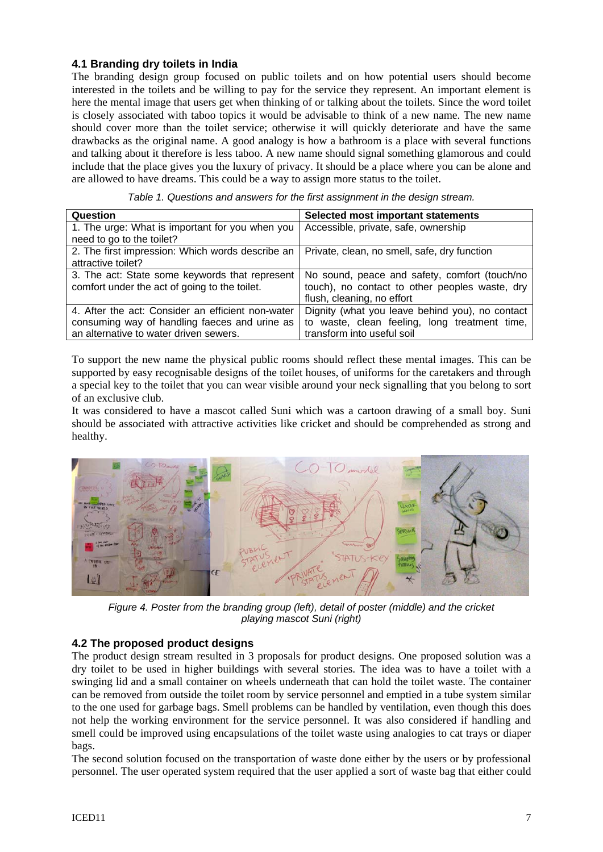#### **4.1 Branding dry toilets in India**

The branding design group focused on public toilets and on how potential users should become interested in the toilets and be willing to pay for the service they represent. An important element is here the mental image that users get when thinking of or talking about the toilets. Since the word toilet is closely associated with taboo topics it would be advisable to think of a new name. The new name should cover more than the toilet service; otherwise it will quickly deteriorate and have the same drawbacks as the original name. A good analogy is how a bathroom is a place with several functions and talking about it therefore is less taboo. A new name should signal something glamorous and could include that the place gives you the luxury of privacy. It should be a place where you can be alone and are allowed to have dreams. This could be a way to assign more status to the toilet.

| Question                                          | <b>Selected most important statements</b>       |
|---------------------------------------------------|-------------------------------------------------|
| 1. The urge: What is important for you when you   | Accessible, private, safe, ownership            |
| need to go to the toilet?                         |                                                 |
| 2. The first impression: Which words describe an  | Private, clean, no smell, safe, dry function    |
| attractive toilet?                                |                                                 |
| 3. The act: State some keywords that represent    | No sound, peace and safety, comfort (touch/no   |
| comfort under the act of going to the toilet.     | touch), no contact to other peoples waste, dry  |
|                                                   | flush, cleaning, no effort                      |
| 4. After the act: Consider an efficient non-water | Dignity (what you leave behind you), no contact |
| consuming way of handling faeces and urine as     | to waste, clean feeling, long treatment time,   |
| an alternative to water driven sewers.            | transform into useful soil                      |

*Table 1. Questions and answers for the first assignment in the design stream.* 

To support the new name the physical public rooms should reflect these mental images. This can be supported by easy recognisable designs of the toilet houses, of uniforms for the caretakers and through a special key to the toilet that you can wear visible around your neck signalling that you belong to sort of an exclusive club.

It was considered to have a mascot called Suni which was a cartoon drawing of a small boy. Suni should be associated with attractive activities like cricket and should be comprehended as strong and healthy.



*Figure 4. Poster from the branding group (left), detail of poster (middle) and the cricket playing mascot Suni (right)* 

#### **4.2 The proposed product designs**

The product design stream resulted in 3 proposals for product designs. One proposed solution was a dry toilet to be used in higher buildings with several stories. The idea was to have a toilet with a swinging lid and a small container on wheels underneath that can hold the toilet waste. The container can be removed from outside the toilet room by service personnel and emptied in a tube system similar to the one used for garbage bags. Smell problems can be handled by ventilation, even though this does not help the working environment for the service personnel. It was also considered if handling and smell could be improved using encapsulations of the toilet waste using analogies to cat trays or diaper bags.

The second solution focused on the transportation of waste done either by the users or by professional personnel. The user operated system required that the user applied a sort of waste bag that either could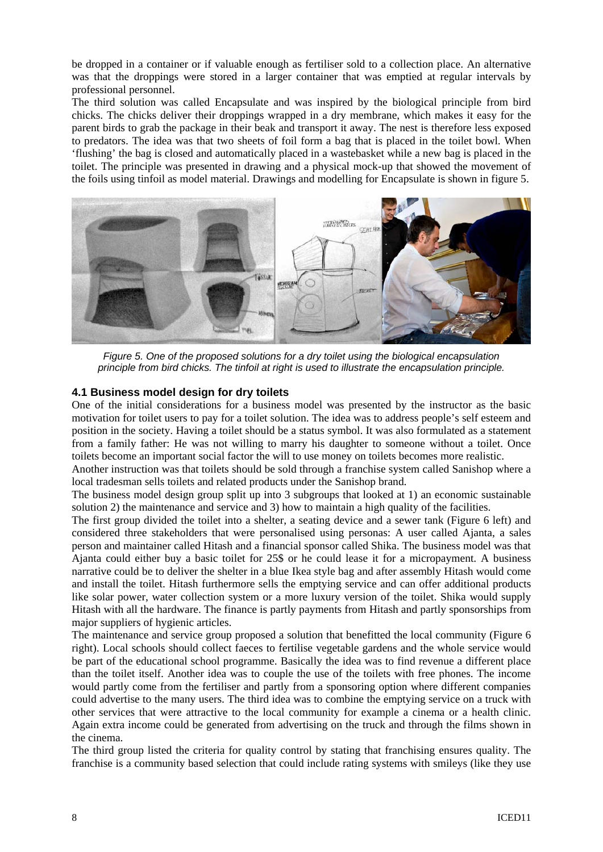be dropped in a container or if valuable enough as fertiliser sold to a collection place. An alternative was that the droppings were stored in a larger container that was emptied at regular intervals by professional personnel.

The third solution was called Encapsulate and was inspired by the biological principle from bird chicks. The chicks deliver their droppings wrapped in a dry membrane, which makes it easy for the parent birds to grab the package in their beak and transport it away. The nest is therefore less exposed to predators. The idea was that two sheets of foil form a bag that is placed in the toilet bowl. When 'flushing' the bag is closed and automatically placed in a wastebasket while a new bag is placed in the toilet. The principle was presented in drawing and a physical mock-up that showed the movement of the foils using tinfoil as model material. Drawings and modelling for Encapsulate is shown in figure 5.



*Figure 5. One of the proposed solutions for a dry toilet using the biological encapsulation principle from bird chicks. The tinfoil at right is used to illustrate the encapsulation principle.* 

#### **4.1 Business model design for dry toilets**

One of the initial considerations for a business model was presented by the instructor as the basic motivation for toilet users to pay for a toilet solution. The idea was to address people's self esteem and position in the society. Having a toilet should be a status symbol. It was also formulated as a statement from a family father: He was not willing to marry his daughter to someone without a toilet. Once toilets become an important social factor the will to use money on toilets becomes more realistic.

Another instruction was that toilets should be sold through a franchise system called Sanishop where a local tradesman sells toilets and related products under the Sanishop brand.

The business model design group split up into 3 subgroups that looked at 1) an economic sustainable solution 2) the maintenance and service and 3) how to maintain a high quality of the facilities.

The first group divided the toilet into a shelter, a seating device and a sewer tank (Figure 6 left) and considered three stakeholders that were personalised using personas: A user called Ajanta, a sales person and maintainer called Hitash and a financial sponsor called Shika. The business model was that Ajanta could either buy a basic toilet for 25\$ or he could lease it for a micropayment. A business narrative could be to deliver the shelter in a blue Ikea style bag and after assembly Hitash would come and install the toilet. Hitash furthermore sells the emptying service and can offer additional products like solar power, water collection system or a more luxury version of the toilet. Shika would supply Hitash with all the hardware. The finance is partly payments from Hitash and partly sponsorships from major suppliers of hygienic articles.

The maintenance and service group proposed a solution that benefitted the local community (Figure 6 right). Local schools should collect faeces to fertilise vegetable gardens and the whole service would be part of the educational school programme. Basically the idea was to find revenue a different place than the toilet itself. Another idea was to couple the use of the toilets with free phones. The income would partly come from the fertiliser and partly from a sponsoring option where different companies could advertise to the many users. The third idea was to combine the emptying service on a truck with other services that were attractive to the local community for example a cinema or a health clinic. Again extra income could be generated from advertising on the truck and through the films shown in the cinema.

The third group listed the criteria for quality control by stating that franchising ensures quality. The franchise is a community based selection that could include rating systems with smileys (like they use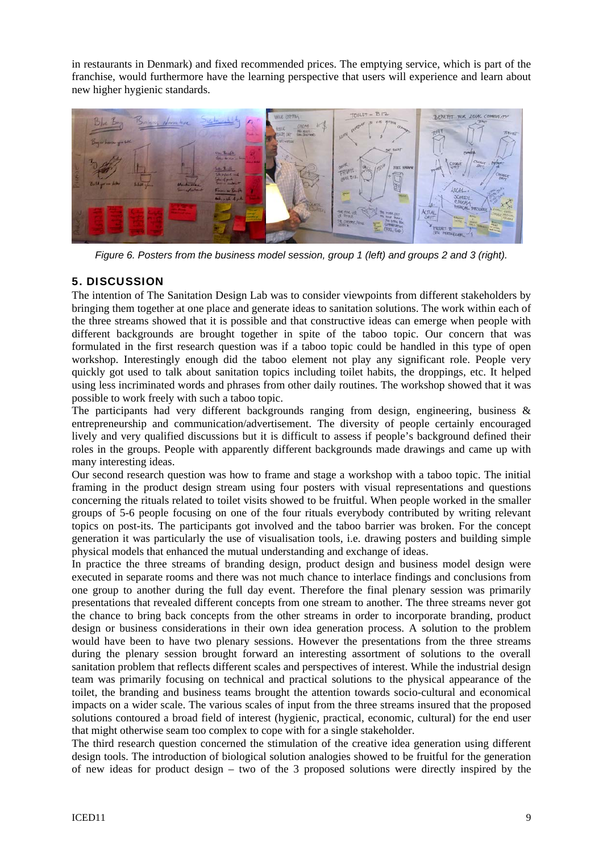in restaurants in Denmark) and fixed recommended prices. The emptying service, which is part of the franchise, would furthermore have the learning perspective that users will experience and learn about new higher hygienic standards.



*Figure 6. Posters from the business model session, group 1 (left) and groups 2 and 3 (right).* 

## 5. DISCUSSION

The intention of The Sanitation Design Lab was to consider viewpoints from different stakeholders by bringing them together at one place and generate ideas to sanitation solutions. The work within each of the three streams showed that it is possible and that constructive ideas can emerge when people with different backgrounds are brought together in spite of the taboo topic. Our concern that was formulated in the first research question was if a taboo topic could be handled in this type of open workshop. Interestingly enough did the taboo element not play any significant role. People very quickly got used to talk about sanitation topics including toilet habits, the droppings, etc. It helped using less incriminated words and phrases from other daily routines. The workshop showed that it was possible to work freely with such a taboo topic.

The participants had very different backgrounds ranging from design, engineering, business & entrepreneurship and communication/advertisement. The diversity of people certainly encouraged lively and very qualified discussions but it is difficult to assess if people's background defined their roles in the groups. People with apparently different backgrounds made drawings and came up with many interesting ideas.

Our second research question was how to frame and stage a workshop with a taboo topic. The initial framing in the product design stream using four posters with visual representations and questions concerning the rituals related to toilet visits showed to be fruitful. When people worked in the smaller groups of 5-6 people focusing on one of the four rituals everybody contributed by writing relevant topics on post-its. The participants got involved and the taboo barrier was broken. For the concept generation it was particularly the use of visualisation tools, i.e. drawing posters and building simple physical models that enhanced the mutual understanding and exchange of ideas.

In practice the three streams of branding design, product design and business model design were executed in separate rooms and there was not much chance to interlace findings and conclusions from one group to another during the full day event. Therefore the final plenary session was primarily presentations that revealed different concepts from one stream to another. The three streams never got the chance to bring back concepts from the other streams in order to incorporate branding, product design or business considerations in their own idea generation process. A solution to the problem would have been to have two plenary sessions. However the presentations from the three streams during the plenary session brought forward an interesting assortment of solutions to the overall sanitation problem that reflects different scales and perspectives of interest. While the industrial design team was primarily focusing on technical and practical solutions to the physical appearance of the toilet, the branding and business teams brought the attention towards socio-cultural and economical impacts on a wider scale. The various scales of input from the three streams insured that the proposed solutions contoured a broad field of interest (hygienic, practical, economic, cultural) for the end user that might otherwise seam too complex to cope with for a single stakeholder.

The third research question concerned the stimulation of the creative idea generation using different design tools. The introduction of biological solution analogies showed to be fruitful for the generation of new ideas for product design – two of the 3 proposed solutions were directly inspired by the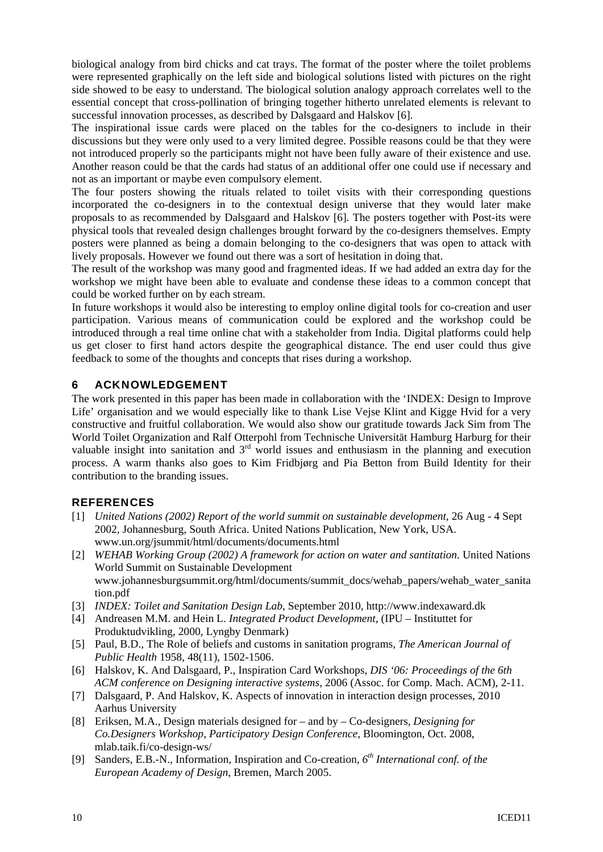biological analogy from bird chicks and cat trays. The format of the poster where the toilet problems were represented graphically on the left side and biological solutions listed with pictures on the right side showed to be easy to understand. The biological solution analogy approach correlates well to the essential concept that cross-pollination of bringing together hitherto unrelated elements is relevant to successful innovation processes, as described by Dalsgaard and Halskov [6].

The inspirational issue cards were placed on the tables for the co-designers to include in their discussions but they were only used to a very limited degree. Possible reasons could be that they were not introduced properly so the participants might not have been fully aware of their existence and use. Another reason could be that the cards had status of an additional offer one could use if necessary and not as an important or maybe even compulsory element.

The four posters showing the rituals related to toilet visits with their corresponding questions incorporated the co-designers in to the contextual design universe that they would later make proposals to as recommended by Dalsgaard and Halskov [6]. The posters together with Post-its were physical tools that revealed design challenges brought forward by the co-designers themselves. Empty posters were planned as being a domain belonging to the co-designers that was open to attack with lively proposals. However we found out there was a sort of hesitation in doing that.

The result of the workshop was many good and fragmented ideas. If we had added an extra day for the workshop we might have been able to evaluate and condense these ideas to a common concept that could be worked further on by each stream.

In future workshops it would also be interesting to employ online digital tools for co-creation and user participation. Various means of communication could be explored and the workshop could be introduced through a real time online chat with a stakeholder from India. Digital platforms could help us get closer to first hand actors despite the geographical distance. The end user could thus give feedback to some of the thoughts and concepts that rises during a workshop.

## 6 ACKNOWLEDGEMENT

The work presented in this paper has been made in collaboration with the 'INDEX: Design to Improve Life' organisation and we would especially like to thank Lise Vejse Klint and Kigge Hvid for a very constructive and fruitful collaboration. We would also show our gratitude towards Jack Sim from The World Toilet Organization and Ralf Otterpohl from Technische Universität Hamburg Harburg for their valuable insight into sanitation and  $3<sup>rd</sup>$  world issues and enthusiasm in the planning and execution process. A warm thanks also goes to Kim Fridbjørg and Pia Betton from Build Identity for their contribution to the branding issues.

## **REFERENCES**

- [1] *United Nations (2002) Report of the world summit on sustainable development*, 26 Aug 4 Sept 2002, Johannesburg, South Africa. United Nations Publication, New York, USA. www.un.org/jsummit/html/documents/documents.html
- [2] *WEHAB Working Group (2002) A framework for action on water and santitation.* United Nations World Summit on Sustainable Development www.johannesburgsummit.org/html/documents/summit\_docs/wehab\_papers/wehab\_water\_sanita tion.pdf
- [3] *INDEX: Toilet and Sanitation Design Lab*, September 2010, http://www.indexaward.dk
- [4] Andreasen M.M. and Hein L. *Integrated Product Development*, (IPU Instituttet for Produktudvikling, 2000, Lyngby Denmark)
- [5] Paul, B.D., The Role of beliefs and customs in sanitation programs, *The American Journal of Public Health* 1958, 48(11), 1502-1506.
- [6] Halskov, K. And Dalsgaard, P., Inspiration Card Workshops, *DIS '06: Proceedings of the 6th ACM conference on Designing interactive systems*, 2006 (Assoc. for Comp. Mach. ACM), 2-11.
- [7] Dalsgaard, P. And Halskov, K. Aspects of innovation in interaction design processes, 2010 Aarhus University
- [8] Eriksen, M.A., Design materials designed for and by Co-designers, *Designing for Co.Designers Workshop, Participatory Design Conference*, Bloomington, Oct. 2008, mlab.taik.fi/co-design-ws/
- [9] Sanders, E.B.-N., Information, Inspiration and Co-creation, *6th International conf. of the European Academy of Design*, Bremen, March 2005.